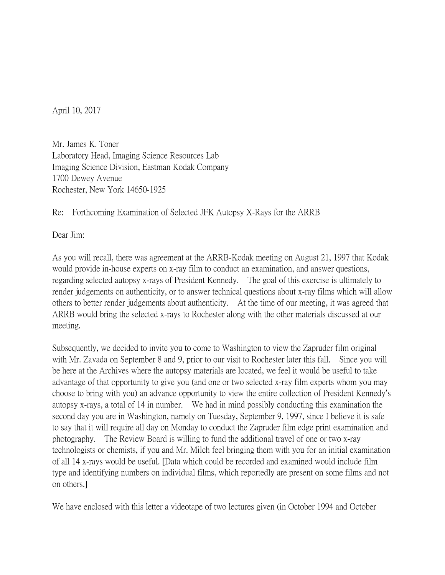April 10, 2017

Mr. James K. Toner Laboratory Head, Imaging Science Resources Lab Imaging Science Division, Eastman Kodak Company 1700 Dewey Avenue Rochester, New York 14650-1925

Re: Forthcoming Examination of Selected JFK Autopsy X-Rays for the ARRB

Dear Jim:

As you will recall, there was agreement at the ARRB-Kodak meeting on August 21, 1997 that Kodak would provide in-house experts on x-ray film to conduct an examination, and answer questions, regarding selected autopsy x-rays of President Kennedy. The goal of this exercise is ultimately to render judgements on authenticity, or to answer technical questions about x-ray films which will allow others to better render judgements about authenticity. At the time of our meeting, it was agreed that ARRB would bring the selected x-rays to Rochester along with the other materials discussed at our meeting.

Subsequently, we decided to invite you to come to Washington to view the Zapruder film original with Mr. Zavada on September 8 and 9, prior to our visit to Rochester later this fall. Since you will be here at the Archives where the autopsy materials are located, we feel it would be useful to take advantage of that opportunity to give you (and one or two selected x-ray film experts whom you may choose to bring with you) an advance opportunity to view the entire collection of President Kennedy's autopsy x-rays, a total of 14 in number. We had in mind possibly conducting this examination the second day you are in Washington, namely on Tuesday, September 9, 1997, since I believe it is safe to say that it will require all day on Monday to conduct the Zapruder film edge print examination and photography. The Review Board is willing to fund the additional travel of one or two x-ray technologists or chemists, if you and Mr. Milch feel bringing them with you for an initial examination of all 14 x-rays would be useful. [Data which could be recorded and examined would include film type and identifying numbers on individual films, which reportedly are present on some films and not on others.]

We have enclosed with this letter a videotape of two lectures given (in October 1994 and October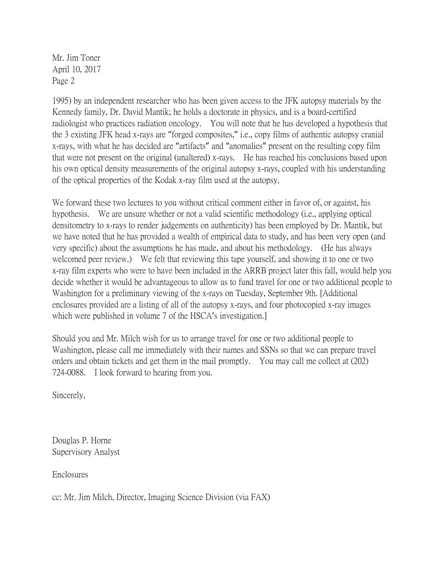Mr. Jim Toner April 10, 2017 Page 2

1995) by an independent researcher who has been given access to the JFK autopsy materials by the Kennedy family, Dr. David Mantik; he holds a doctorate in physics, and is a board-certified radiologist who practices radiation oncology. You will note that he has developed a hypothesis that the 3 existing JFK head x-rays are "forged composites," i.e., copy films of authentic autopsy cranial x-rays, with what he has decided are "artifacts" and "anomalies" present on the resulting copy film that were not present on the original (unaltered) x-rays. He has reached his conclusions based upon his own optical density measurements of the original autopsy x-rays, coupled with his understanding of the optical properties of the Kodak x-ray film used at the autopsy.

We forward these two lectures to you without critical comment either in favor of, or against, his hypothesis. We are unsure whether or not a valid scientific methodology (i.e., applying optical densitometry to x-rays to render judgements on authenticity) has been employed by Dr. Mantik, but we have noted that he has provided a wealth of empirical data to study, and has been very open (and very specific) about the assumptions he has made, and about his methodology. (He has always welcomed peer review.) We felt that reviewing this tape yourself, and showing it to one or two x-ray film experts who were to have been included in the ARRB project later this fall, would help you decide whether it would be advantageous to allow us to fund travel for one or two additional people to Washington for a preliminary viewing of the x-rays on Tuesday, September 9th. [Additional enclosures provided are a listing of all of the autopsy x-rays, and four photocopied x-ray images which were published in volume 7 of the HSCA's investigation.

Should you and Mr. Milch wish for us to arrange travel for one or two additional people to Washington, please call me immediately with their names and SSNs so that we can prepare travel orders and obtain tickets and get them in the mail promptly. You may call me collect at (202) 724-0088. I look forward to hearing from you.

Sincerely,

Douglas P. Horne Supervisory Analyst

Enclosures

cc: Mr. Jim Milch, Director, Imaging Science Division (via FAX)